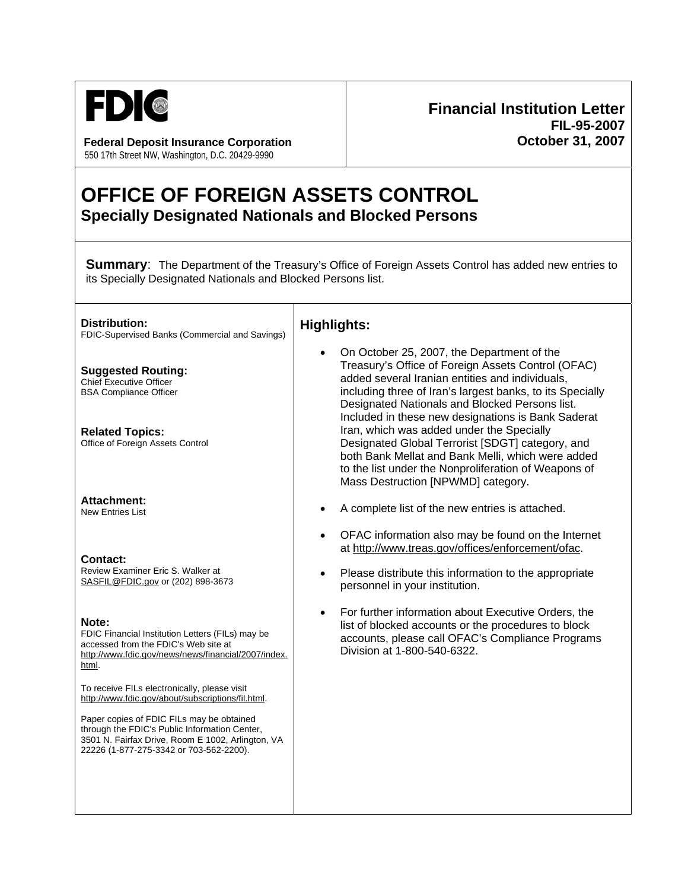

**Federal Deposit Insurance Corporation October 31, 2007** 550 17th Street NW, Washington, D.C. 20429-9990

## **Financial Institution Letter FIL-95-2007**

## **OFFICE OF FOREIGN ASSETS CONTROL Specially Designated Nationals and Blocked Persons**

**Summary:** The Department of the Treasury's Office of Foreign Assets Control has added new entries to its Specially Designated Nationals and Blocked Persons list.

| Distribution:<br>FDIC-Supervised Banks (Commercial and Savings)                                                                                                                            | <b>Highlights:</b>                                                                                                                                                                                                                                                                                                                                                                                                                                                                                                                                                           |
|--------------------------------------------------------------------------------------------------------------------------------------------------------------------------------------------|------------------------------------------------------------------------------------------------------------------------------------------------------------------------------------------------------------------------------------------------------------------------------------------------------------------------------------------------------------------------------------------------------------------------------------------------------------------------------------------------------------------------------------------------------------------------------|
| <b>Suggested Routing:</b><br><b>Chief Executive Officer</b><br><b>BSA Compliance Officer</b><br><b>Related Topics:</b><br>Office of Foreign Assets Control                                 | On October 25, 2007, the Department of the<br>Treasury's Office of Foreign Assets Control (OFAC)<br>added several Iranian entities and individuals,<br>including three of Iran's largest banks, to its Specially<br>Designated Nationals and Blocked Persons list.<br>Included in these new designations is Bank Saderat<br>Iran, which was added under the Specially<br>Designated Global Terrorist [SDGT] category, and<br>both Bank Mellat and Bank Melli, which were added<br>to the list under the Nonproliferation of Weapons of<br>Mass Destruction [NPWMD] category. |
| <b>Attachment:</b><br><b>New Entries List</b>                                                                                                                                              | A complete list of the new entries is attached.                                                                                                                                                                                                                                                                                                                                                                                                                                                                                                                              |
| <b>Contact:</b><br>Review Examiner Eric S. Walker at<br>SASFIL@FDIC.gov or (202) 898-3673                                                                                                  | OFAC information also may be found on the Internet<br>$\bullet$<br>at http://www.treas.gov/offices/enforcement/ofac.<br>Please distribute this information to the appropriate<br>personnel in your institution.                                                                                                                                                                                                                                                                                                                                                              |
| Note:<br>FDIC Financial Institution Letters (FILs) may be<br>accessed from the FDIC's Web site at<br>http://www.fdic.gov/news/news/financial/2007/index.<br>html.                          | For further information about Executive Orders, the<br>$\bullet$<br>list of blocked accounts or the procedures to block<br>accounts, please call OFAC's Compliance Programs<br>Division at 1-800-540-6322.                                                                                                                                                                                                                                                                                                                                                                   |
| To receive FILs electronically, please visit<br>http://www.fdic.gov/about/subscriptions/fil.html.                                                                                          |                                                                                                                                                                                                                                                                                                                                                                                                                                                                                                                                                                              |
| Paper copies of FDIC FILs may be obtained<br>through the FDIC's Public Information Center,<br>3501 N. Fairfax Drive, Room E 1002, Arlington, VA<br>22226 (1-877-275-3342 or 703-562-2200). |                                                                                                                                                                                                                                                                                                                                                                                                                                                                                                                                                                              |
|                                                                                                                                                                                            |                                                                                                                                                                                                                                                                                                                                                                                                                                                                                                                                                                              |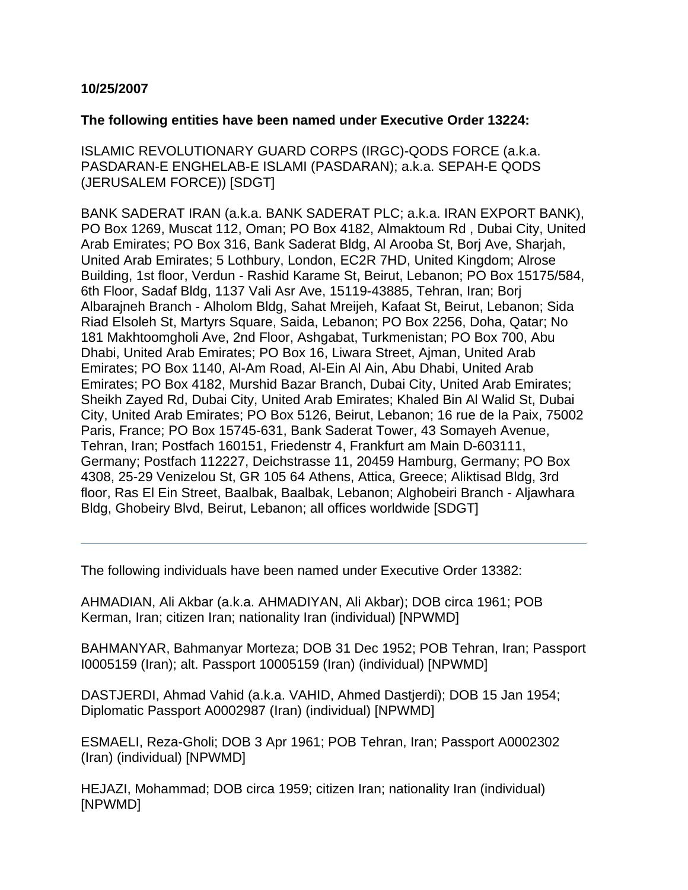## **10/25/2007**

## **The following entities have been named under Executive Order 13224:**

ISLAMIC REVOLUTIONARY GUARD CORPS (IRGC)-QODS FORCE (a.k.a. PASDARAN-E ENGHELAB-E ISLAMI (PASDARAN); a.k.a. SEPAH-E QODS (JERUSALEM FORCE)) [SDGT]

BANK SADERAT IRAN (a.k.a. BANK SADERAT PLC; a.k.a. IRAN EXPORT BANK), PO Box 1269, Muscat 112, Oman; PO Box 4182, Almaktoum Rd , Dubai City, United Arab Emirates; PO Box 316, Bank Saderat Bldg, Al Arooba St, Borj Ave, Sharjah, United Arab Emirates; 5 Lothbury, London, EC2R 7HD, United Kingdom; Alrose Building, 1st floor, Verdun - Rashid Karame St, Beirut, Lebanon; PO Box 15175/584, 6th Floor, Sadaf Bldg, 1137 Vali Asr Ave, 15119-43885, Tehran, Iran; Borj Albarajneh Branch - Alholom Bldg, Sahat Mreijeh, Kafaat St, Beirut, Lebanon; Sida Riad Elsoleh St, Martyrs Square, Saida, Lebanon; PO Box 2256, Doha, Qatar; No 181 Makhtoomgholi Ave, 2nd Floor, Ashgabat, Turkmenistan; PO Box 700, Abu Dhabi, United Arab Emirates; PO Box 16, Liwara Street, Ajman, United Arab Emirates; PO Box 1140, Al-Am Road, Al-Ein Al Ain, Abu Dhabi, United Arab Emirates; PO Box 4182, Murshid Bazar Branch, Dubai City, United Arab Emirates; Sheikh Zayed Rd, Dubai City, United Arab Emirates; Khaled Bin Al Walid St, Dubai City, United Arab Emirates; PO Box 5126, Beirut, Lebanon; 16 rue de la Paix, 75002 Paris, France; PO Box 15745-631, Bank Saderat Tower, 43 Somayeh Avenue, Tehran, Iran; Postfach 160151, Friedenstr 4, Frankfurt am Main D-603111, Germany; Postfach 112227, Deichstrasse 11, 20459 Hamburg, Germany; PO Box 4308, 25-29 Venizelou St, GR 105 64 Athens, Attica, Greece; Aliktisad Bldg, 3rd floor, Ras El Ein Street, Baalbak, Baalbak, Lebanon; Alghobeiri Branch - Aljawhara Bldg, Ghobeiry Blvd, Beirut, Lebanon; all offices worldwide [SDGT]

The following individuals have been named under Executive Order 13382:

AHMADIAN, Ali Akbar (a.k.a. AHMADIYAN, Ali Akbar); DOB circa 1961; POB Kerman, Iran; citizen Iran; nationality Iran (individual) [NPWMD]

BAHMANYAR, Bahmanyar Morteza; DOB 31 Dec 1952; POB Tehran, Iran; Passport I0005159 (Iran); alt. Passport 10005159 (Iran) (individual) [NPWMD]

DASTJERDI, Ahmad Vahid (a.k.a. VAHID, Ahmed Dastjerdi); DOB 15 Jan 1954; Diplomatic Passport A0002987 (Iran) (individual) [NPWMD]

ESMAELI, Reza-Gholi; DOB 3 Apr 1961; POB Tehran, Iran; Passport A0002302 (Iran) (individual) [NPWMD]

HEJAZI, Mohammad; DOB circa 1959; citizen Iran; nationality Iran (individual) [NPWMD]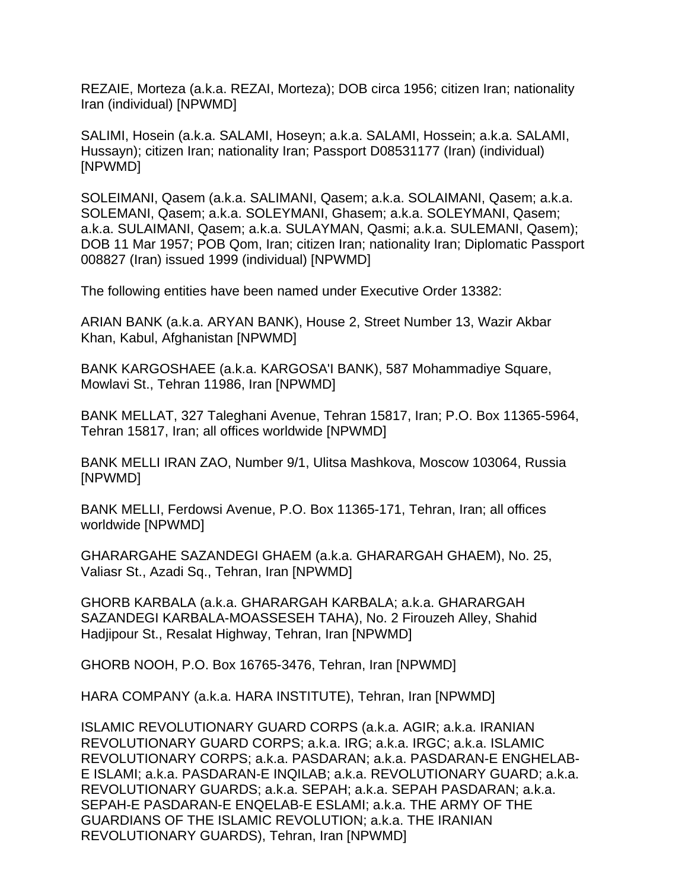REZAIE, Morteza (a.k.a. REZAI, Morteza); DOB circa 1956; citizen Iran; nationality Iran (individual) [NPWMD]

SALIMI, Hosein (a.k.a. SALAMI, Hoseyn; a.k.a. SALAMI, Hossein; a.k.a. SALAMI, Hussayn); citizen Iran; nationality Iran; Passport D08531177 (Iran) (individual) [NPWMD]

SOLEIMANI, Qasem (a.k.a. SALIMANI, Qasem; a.k.a. SOLAIMANI, Qasem; a.k.a. SOLEMANI, Qasem; a.k.a. SOLEYMANI, Ghasem; a.k.a. SOLEYMANI, Qasem; a.k.a. SULAIMANI, Qasem; a.k.a. SULAYMAN, Qasmi; a.k.a. SULEMANI, Qasem); DOB 11 Mar 1957; POB Qom, Iran; citizen Iran; nationality Iran; Diplomatic Passport 008827 (Iran) issued 1999 (individual) [NPWMD]

The following entities have been named under Executive Order 13382:

ARIAN BANK (a.k.a. ARYAN BANK), House 2, Street Number 13, Wazir Akbar Khan, Kabul, Afghanistan [NPWMD]

BANK KARGOSHAEE (a.k.a. KARGOSA'I BANK), 587 Mohammadiye Square, Mowlavi St., Tehran 11986, Iran [NPWMD]

BANK MELLAT, 327 Taleghani Avenue, Tehran 15817, Iran; P.O. Box 11365-5964, Tehran 15817, Iran; all offices worldwide [NPWMD]

BANK MELLI IRAN ZAO, Number 9/1, Ulitsa Mashkova, Moscow 103064, Russia [NPWMD]

BANK MELLI, Ferdowsi Avenue, P.O. Box 11365-171, Tehran, Iran; all offices worldwide [NPWMD]

GHARARGAHE SAZANDEGI GHAEM (a.k.a. GHARARGAH GHAEM), No. 25, Valiasr St., Azadi Sq., Tehran, Iran [NPWMD]

GHORB KARBALA (a.k.a. GHARARGAH KARBALA; a.k.a. GHARARGAH SAZANDEGI KARBALA-MOASSESEH TAHA), No. 2 Firouzeh Alley, Shahid Hadjipour St., Resalat Highway, Tehran, Iran [NPWMD]

GHORB NOOH, P.O. Box 16765-3476, Tehran, Iran [NPWMD]

HARA COMPANY (a.k.a. HARA INSTITUTE), Tehran, Iran [NPWMD]

ISLAMIC REVOLUTIONARY GUARD CORPS (a.k.a. AGIR; a.k.a. IRANIAN REVOLUTIONARY GUARD CORPS; a.k.a. IRG; a.k.a. IRGC; a.k.a. ISLAMIC REVOLUTIONARY CORPS; a.k.a. PASDARAN; a.k.a. PASDARAN-E ENGHELAB-E ISLAMI; a.k.a. PASDARAN-E INQILAB; a.k.a. REVOLUTIONARY GUARD; a.k.a. REVOLUTIONARY GUARDS; a.k.a. SEPAH; a.k.a. SEPAH PASDARAN; a.k.a. SEPAH-E PASDARAN-E ENQELAB-E ESLAMI; a.k.a. THE ARMY OF THE GUARDIANS OF THE ISLAMIC REVOLUTION; a.k.a. THE IRANIAN REVOLUTIONARY GUARDS), Tehran, Iran [NPWMD]